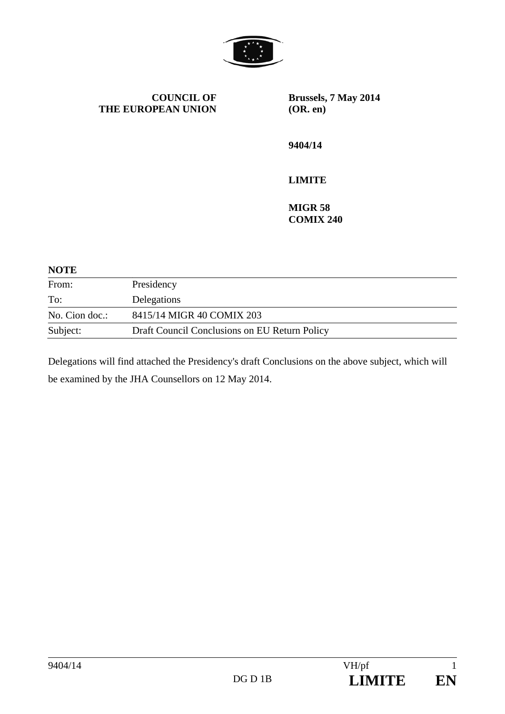

**COUNCIL OF THE EUROPEAN UNION** **Brussels, 7 May 2014 (OR. en)** 

**9404/14** 

## **LIMITE**

**MIGR 58 COMIX 240** 

## **NOTE**

| From:          | Presidency                                    |
|----------------|-----------------------------------------------|
| To:            | Delegations                                   |
| No. Cion doc.: | 8415/14 MIGR 40 COMIX 203                     |
| Subject:       | Draft Council Conclusions on EU Return Policy |

Delegations will find attached the Presidency's draft Conclusions on the above subject, which will be examined by the JHA Counsellors on 12 May 2014.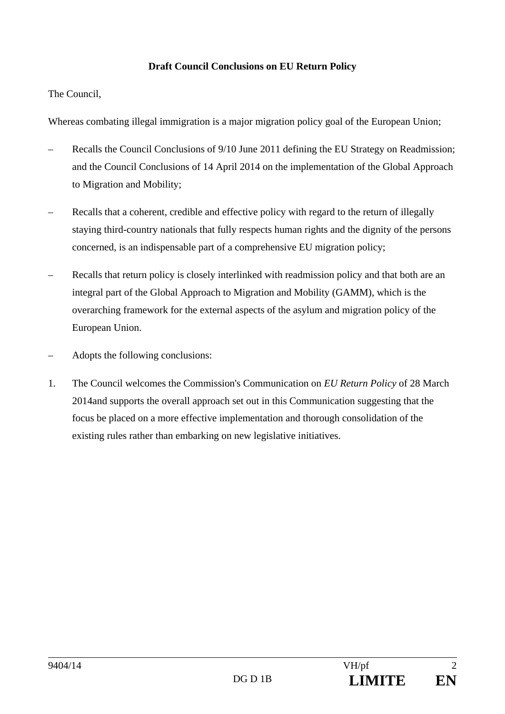## **Draft Council Conclusions on EU Return Policy**

The Council,

Whereas combating illegal immigration is a major migration policy goal of the European Union;

- Recalls the Council Conclusions of 9/10 June 2011 defining the EU Strategy on Readmission; and the Council Conclusions of 14 April 2014 on the implementation of the Global Approach to Migration and Mobility;
- Recalls that a coherent, credible and effective policy with regard to the return of illegally staying third-country nationals that fully respects human rights and the dignity of the persons concerned, is an indispensable part of a comprehensive EU migration policy;
- Recalls that return policy is closely interlinked with readmission policy and that both are an integral part of the Global Approach to Migration and Mobility (GAMM), which is the overarching framework for the external aspects of the asylum and migration policy of the European Union.
- Adopts the following conclusions:
- 1. The Council welcomes the Commission's Communication on *EU Return Policy* of 28 March 2014and supports the overall approach set out in this Communication suggesting that the focus be placed on a more effective implementation and thorough consolidation of the existing rules rather than embarking on new legislative initiatives.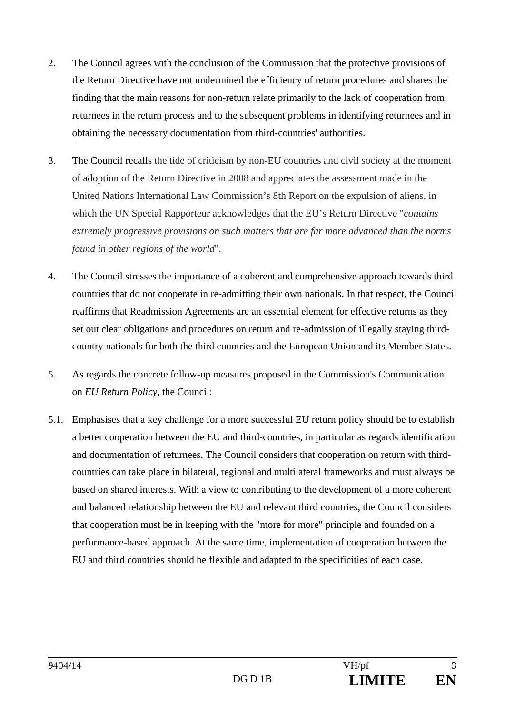- 2. The Council agrees with the conclusion of the Commission that the protective provisions of the Return Directive have not undermined the efficiency of return procedures and shares the finding that the main reasons for non-return relate primarily to the lack of cooperation from returnees in the return process and to the subsequent problems in identifying returnees and in obtaining the necessary documentation from third-countries' authorities.
- 3. The Council recalls the tide of criticism by non-EU countries and civil society at the moment of adoption of the Return Directive in 2008 and appreciates the assessment made in the United Nations International Law Commission's 8th Report on the expulsion of aliens, in which the UN Special Rapporteur acknowledges that the EU's Return Directive "*contains extremely progressive provisions on such matters that are far more advanced than the norms found in other regions of the world*".
- 4. The Council stresses the importance of a coherent and comprehensive approach towards third countries that do not cooperate in re-admitting their own nationals. In that respect, the Council reaffirms that Readmission Agreements are an essential element for effective returns as they set out clear obligations and procedures on return and re-admission of illegally staying thirdcountry nationals for both the third countries and the European Union and its Member States.
- 5. As regards the concrete follow-up measures proposed in the Commission's Communication on *EU Return Policy*, the Council:
- 5.1. Emphasises that a key challenge for a more successful EU return policy should be to establish a better cooperation between the EU and third-countries, in particular as regards identification and documentation of returnees. The Council considers that cooperation on return with thirdcountries can take place in bilateral, regional and multilateral frameworks and must always be based on shared interests. With a view to contributing to the development of a more coherent and balanced relationship between the EU and relevant third countries, the Council considers that cooperation must be in keeping with the "more for more" principle and founded on a performance-based approach. At the same time, implementation of cooperation between the EU and third countries should be flexible and adapted to the specificities of each case.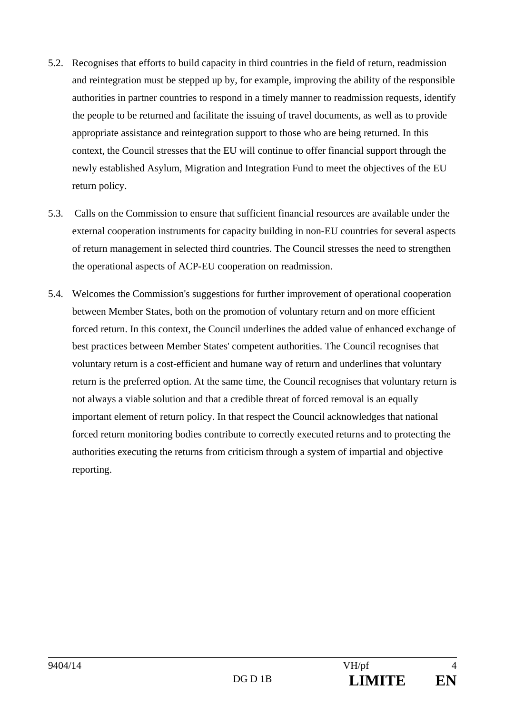- 5.2. Recognises that efforts to build capacity in third countries in the field of return, readmission and reintegration must be stepped up by, for example, improving the ability of the responsible authorities in partner countries to respond in a timely manner to readmission requests, identify the people to be returned and facilitate the issuing of travel documents, as well as to provide appropriate assistance and reintegration support to those who are being returned. In this context, the Council stresses that the EU will continue to offer financial support through the newly established Asylum, Migration and Integration Fund to meet the objectives of the EU return policy.
- 5.3. Calls on the Commission to ensure that sufficient financial resources are available under the external cooperation instruments for capacity building in non-EU countries for several aspects of return management in selected third countries. The Council stresses the need to strengthen the operational aspects of ACP-EU cooperation on readmission.
- 5.4. Welcomes the Commission's suggestions for further improvement of operational cooperation between Member States, both on the promotion of voluntary return and on more efficient forced return. In this context, the Council underlines the added value of enhanced exchange of best practices between Member States' competent authorities. The Council recognises that voluntary return is a cost-efficient and humane way of return and underlines that voluntary return is the preferred option. At the same time, the Council recognises that voluntary return is not always a viable solution and that a credible threat of forced removal is an equally important element of return policy. In that respect the Council acknowledges that national forced return monitoring bodies contribute to correctly executed returns and to protecting the authorities executing the returns from criticism through a system of impartial and objective reporting.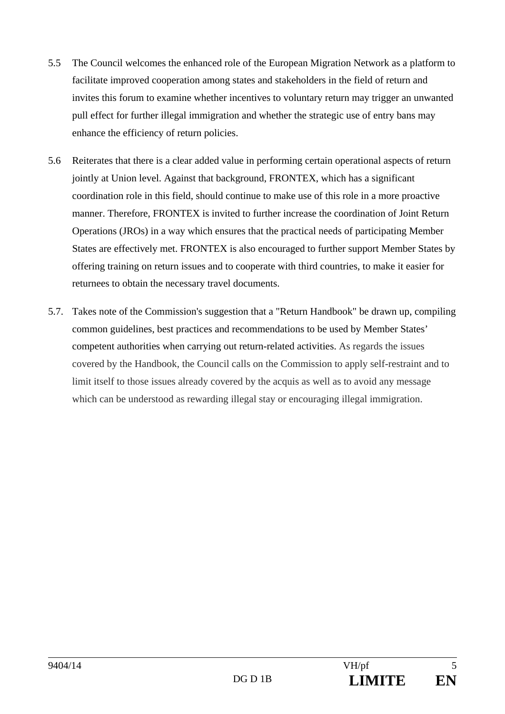- 5.5 The Council welcomes the enhanced role of the European Migration Network as a platform to facilitate improved cooperation among states and stakeholders in the field of return and invites this forum to examine whether incentives to voluntary return may trigger an unwanted pull effect for further illegal immigration and whether the strategic use of entry bans may enhance the efficiency of return policies.
- 5.6 Reiterates that there is a clear added value in performing certain operational aspects of return jointly at Union level. Against that background, FRONTEX, which has a significant coordination role in this field, should continue to make use of this role in a more proactive manner. Therefore, FRONTEX is invited to further increase the coordination of Joint Return Operations (JROs) in a way which ensures that the practical needs of participating Member States are effectively met. FRONTEX is also encouraged to further support Member States by offering training on return issues and to cooperate with third countries, to make it easier for returnees to obtain the necessary travel documents.
- 5.7. Takes note of the Commission's suggestion that a "Return Handbook" be drawn up, compiling common guidelines, best practices and recommendations to be used by Member States' competent authorities when carrying out return-related activities. As regards the issues covered by the Handbook, the Council calls on the Commission to apply self-restraint and to limit itself to those issues already covered by the acquis as well as to avoid any message which can be understood as rewarding illegal stay or encouraging illegal immigration.